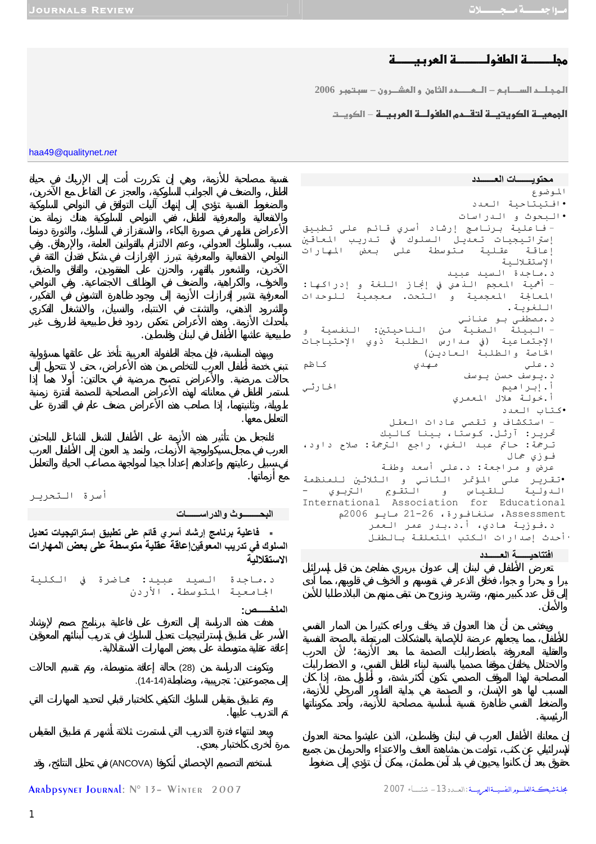# م<u>جلـــــــــة الطفولـــــــــة العربي</u>ـــــة

<mark>المجـلــد الســــابـع – الـــعـــــــدد الثاون و العشـــرون – سبـتـوبـر 2006</mark>

## **الجمعيـــة الكويتيـــة لتقـــدم الطفولـــة العربيـــة** – الكويــت

haa49*@*qualitynet*.net*

**محتويـــــــات العـــــــدد** الموضوع •افتيتاحية العدد •البحوث و الدراسات - فاعلية برنامج إرشاد أسري قائم على تطبيق إستراتيجيات تعديل السلوك في تدريب المعاقين إعاقة عقلية متوسطة على بعض المهارات الإستقلالية د.ماجدة السيد عبيد - أهمية المعجم الذهني في إنجاز اللغة و إدراآها: المعالجة المعجمية و التحت. معجمية للوحدات اللغوية. د.مصطفى بو عناني - البيئة الصفية من الناحيتين: النفسية و الإجتماعية (في مدارس الطلبة ذوي الإحتياجات الخاصة والطلبة العادين) د.علي مهدي آاظم د.يوسف حسن يوسف أ.إبراهيم الحارثي أ.خولة هلال المعمري •آتاب العدد - استكشاف و تقصي عادات العقل تحريـر: آرثـل. كـوستا، بـينا كـالـيك ترجمة: حاتم عبد الغني، راجع الترجمة: صلاح داود، فوزي جمال عرض و مراجعة: د.علي أسعد وطفة •تقرير على المؤتمر الثاني و الثلاثين للمنظمة الدولية للقياس و التقويم التربوي - International Association for Educational Assessment، سنغافورة، 21-26 مايو 2006م د.فوزية هادي، أ.د.بدر عمر العمر •أحدث إصدارات الكتب المتعلقة بالطفل

**افتتاحيــــــة العــــــدد**

والأمان.

الرئيسي .

أسرة التحرير

## **البحــــــــوث والدراســــــات**

طبيعية عاشها الأطفال في لبنان وفلسطين.

 **فاعلية برنامج إرشاد أسري قائم على تطبيق إستراتيجيات تعديل السلوك في تدريب المعوقينإعاقة عقلية متوسطة على بعض المهارات الاستقلالية**

سبب، والسلوك العدواني، وعدم الالتزام بالقوانين العامة، والإرهاق. في

والخوف، والكراهية، والضعف في الوظائف الاجتماعية. في النواحي

بأحداث الأزمة. هذه الأعراض تعكس ردود فعل طبيعية لظروف غير

حالات مرضية. والأعراض تصبح مرضية في حالتين: أولا هما إذا

د.ماجدة السيد عبيد: محاضرة في الكلية الجامعية المتوسطة. الأردن

**الملخــــــص:**

مرة أخرى كاختبار بعدي.

التعامل معها.

مع أزماتها.



تم التدريب عليها.

استخدم التصميم الإحصائي أنكوفا (ANCOVA (في تحليل النتائج، وقد

جلة شبكـــة العلـــوم النفسيــة العربيـــة : العــدد 13 – شتــــاء 2007 - 2007 ARAbpsynet Journal: N° 13 – Winter 2007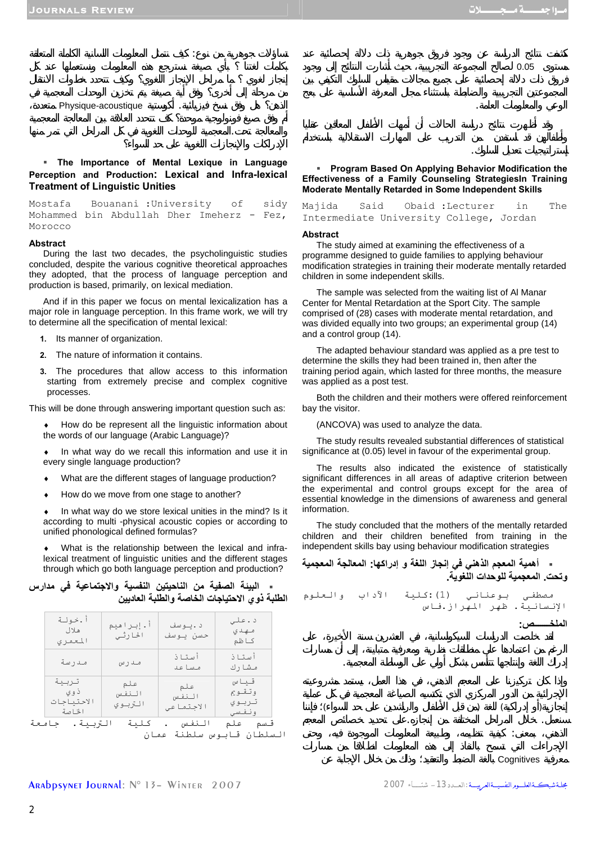$0.05$ 

الوعي والمعلومات العامة.

إستراتيجيات تعديل السلوك.

## Physique-acoustique

## **The Importance of Mental Lexique in Language Perception and Production: Lexical and Infra-lexical Treatment of Linguistic Unities**

والمعالجة تحت.المعجمية للوحدات اللغوية في كل المراحل التي تمر منها

تساؤلات جوهرية من نوع: يف نتمثل المعلومات اللسانية الكاملة المتعلقة

Mostafa Bouanani :University of sidy Mohammed bin Abdullah Dher Imeherz - Fez, Morocco

#### **Abstract**

During the last two decades, the psycholinguistic studies concluded, despite the various cognitive theoretical approaches they adopted, that the process of language perception and production is based, primarily, on lexical mediation.

And if in this paper we focus on mental lexicalization has a major role in language perception. In this frame work, we will try to determine all the specification of mental lexical:

- **1.** Its manner of organization.
- **2.** The nature of information it contains.
- **3.** The procedures that allow access to this information starting from extremely precise and complex cognitive processes.

This will be done through answering important question such as:

How do be represent all the linguistic information about the words of our language (Arabic Language)?

In what way do we recall this information and use it in every single language production?

- ♦ What are the different stages of language production?
- How do we move from one stage to another?

In what way do we store lexical unities in the mind? Is it according to multi -physical acoustic copies or according to unified phonological defined formulas?

What is the relationship between the lexical and infralexical treatment of linguistic unities and the different stages through which go both language perception and production?

|  | ـ    البيئة  الصفية  من  الناحيتين  النفسية  والاجتماعية  في  مدارس |                                               |  |  |
|--|---------------------------------------------------------------------|-----------------------------------------------|--|--|
|  |                                                                     | الطلبة ذوي الاحتياجات الخاصة والطلبة العاديين |  |  |

| أ.خولة<br>هلال<br>المعمر ي             | أ.إبراهيم<br>الحارثي    | د .يوسف<br>حسن يوسف       | د . على<br>مــهـد ي<br>کــا ظم      |
|----------------------------------------|-------------------------|---------------------------|-------------------------------------|
| مـدر سة                                | مـدرس                   | أستاذ<br>مساعد            | أستاذ<br>مشارك                      |
| تربية<br>ذ و ی<br>الاحتىاحات<br>الخاصة | علم<br>النفس<br>التربوي | علم<br>النفس<br>الاجتماعي | قياس<br>وتقوج<br>تربوي<br>ونفسى     |
| التربية .<br>جامعة                     | كلنة                    | الـنفـس                   | قسم علم<br>السلطان قابوس سلطنة عمان |

### **Program Based On Applying Behavior Modification the Effectiveness of a Family Counseling StrategiesIn Training Moderate Mentally Retarded in Some Independent Skills**

| Majida | Said |                                         | Obaid :Lecturer | in | The |
|--------|------|-----------------------------------------|-----------------|----|-----|
|        |      | Intermediate University College, Jordan |                 |    |     |

#### **Abstract**

The study aimed at examining the effectiveness of a programme designed to guide families to applying behaviour modification strategies in training their moderate mentally retarded children in some independent skills.

The sample was selected from the waiting list of Al Manar Center for Mental Retardation at the Sport City. The sample comprised of (28) cases with moderate mental retardation, and was divided equally into two groups; an experimental group (14) and a control group (14).

The adapted behaviour standard was applied as a pre test to determine the skills they had been trained in, then after the training period again, which lasted for three months, the measure was applied as a post test.

Both the children and their mothers were offered reinforcement bay the visitor.

(ANCOVA) was used to analyze the data.

The study results revealed substantial differences of statistical significance at (0.05) level in favour of the experimental group.

The results also indicated the existence of statistically significant differences in all areas of adaptive criterion between the experimental and control groups except for the area of essential knowledge in the dimensions of awareness and general information.

The study concluded that the mothers of the mentally retarded children and their children benefited from training in the independent skills bay using behaviour modification strategies





#### معرفية Cognitives بالغة الضبط والتعقيد؛ وذلك من خلال الإجابة عن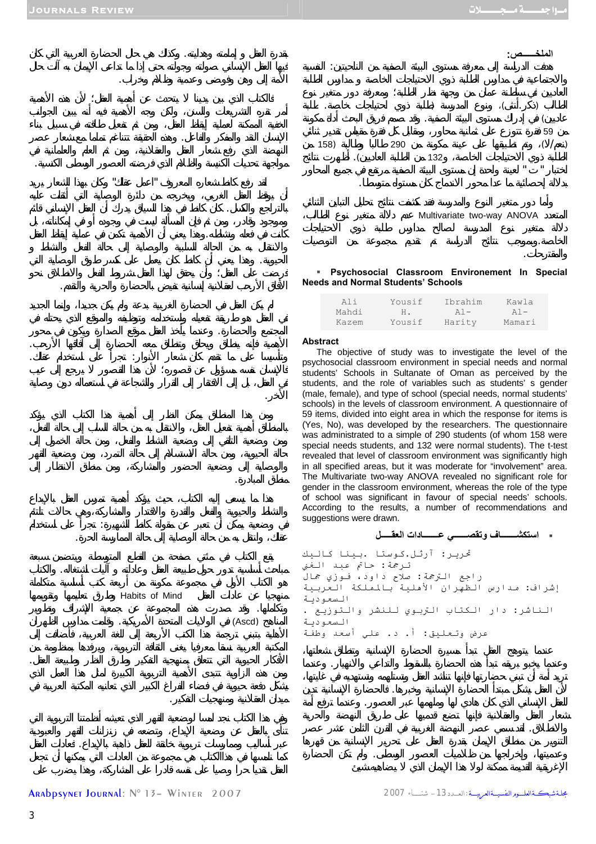بقدرة العقل إمامته وهدايته. كذلك هي حال الحضارة العربية التي كان

الإنسان النقد والمفكر والفاعل. هذه الحقيقة تتناغم تماما مع شعار عصر

مواجهة تحديات الكنيسة والظلام الذي فرضته العصور الوسطى الكنسية.

بالتراجع والكسل. كان كانط في هذا السياق يدرك أن العقل الإنساني قائ

كانت في فعله ونشاطه. هذا يعني أن الأهمية تكمن في عملية إيقاظ العقل

الحيوية. وهذا يعني أن كانط كان يعمل على كسر طوق الوصاية التي

المجتمع والحضارة. عندما يأخذ العقل موقع الصدارة ويكون في محور الأهمية فإنه ينطلق ويحلق وتنطلق معه الحضارة إلى آفاقها الأرحب. وتأسيسا على ما تقدم كان شعار الأنوار: تجرأ على استخدام عقلك.

الأفاق الأرحب لعقلانية إنسانية تفيض بالحضارة والحرية والتقدم.

لقد رفع كانط شعاره المعروف "اعمل عقلك" كان بهذا الشعار يريد

الأمة إلى وهن وفوضى وعدمية وظلام وخراب.



Multivariate two-way ANOVA

والمقترحات.

#### **Psychosocial Classroom Environement In Special Needs and Normal Students' Schools**

الخاصة. بموجب نتائج الدراسة تم تقديم مجموعة من التوصيات

| Ali   | Yousif | Ibrahim   | Kawla  |
|-------|--------|-----------|--------|
| Mahdi | н.     | $A$ ] $-$ | $A1 -$ |
| Kazem | Yousif | Harity    | Mamari |

#### **Abstract**

الأخر.

منطق المبادرة.

The objective of study was to investigate the level of the psychosocial classroom environment in special needs and normal students' Schools in Sultanate of Oman as perceived by the students, and the role of variables such as students' s gender (male, female), and type of school (special needs, normal students' schools) in the levels of classroom environment. A questionnaire of 59 items, divided into eight area in which the response for items is (Yes, No), was developed by the researchers. The questionnaire was administrated to a simple of 290 students (of whom 158 were special needs students, and 132 were normal students). The t-test revealed that level of classroom environment was significantly high in all specified areas, but it was moderate for "involvement" area. The Multivariate two-way ANOVA revealed no significant role for gender in the classroom environment, whereas the role of the type of school was significant in favour of special needs' schools. According to the results, a number of recommendations and suggestions were drawn.

**استكشـــــــاف وتقصــــــي عـــــــادات العقـــــل**

تحرير: آرثل.كوستا .بينا كاليك ترجمة: حاتم عبد الغني راجع الترجمة: صلاح داود، فوزي جمال إشراف: مدارس الظهران الأهلية بالمملكة العربية السعودية الناشر: دار الكتاب التربوي للنشر والتوزيع . السعودية عرض وتعليق: أ. د. علي أسعد وطفة

وعندما يخبو بريقه تبدأ هذه الحضارة بالسقوط والتداعي والانهيار. عندما

لأن العقل يشكل مبتدأ الحضارة الإنسانية وخبرها. الحضارة الإنسانية تدين للعقل الإنساني الذي كان هادي لها وملهمها عبر العصور. عندما ترفع أمة

والانطلاق. قد سمي عصر النهضة الغربية في القرن الثامن عشر عصر

وعدميتها، وإخراجها من ظلاميات العصور الوسطى. لم تكن الحضارة

Habits of Mind وتكاملها. وقد صدرت هذه المجموع عن جمعية الإشراف وتطوير

في وضعية يمكن أن تعبر عن مقولة كانط الشهيرة: تجرأ على استخدام

مباحث أساسية تدور حول طبيعة العقل وعاداته آليات اشتغاله. الكتاب

الأفكار الحيوية التي تتعلق بمنهجية التفكير وطرق النظر وطبيعة العقل.

عبر أساليب وممارسات تربوية خانقة للعقل ذاهبة بالإبداع. عادات العقل

عقلك، وانتقل به من حالة الوصاية إلى حالة الممارسة الحرة.

المناهج (Ascd (في الولايات المتحدة الأمريكية. قامت مدارس الظهران

ميدان العقلانية ومنهجيات التفكير.